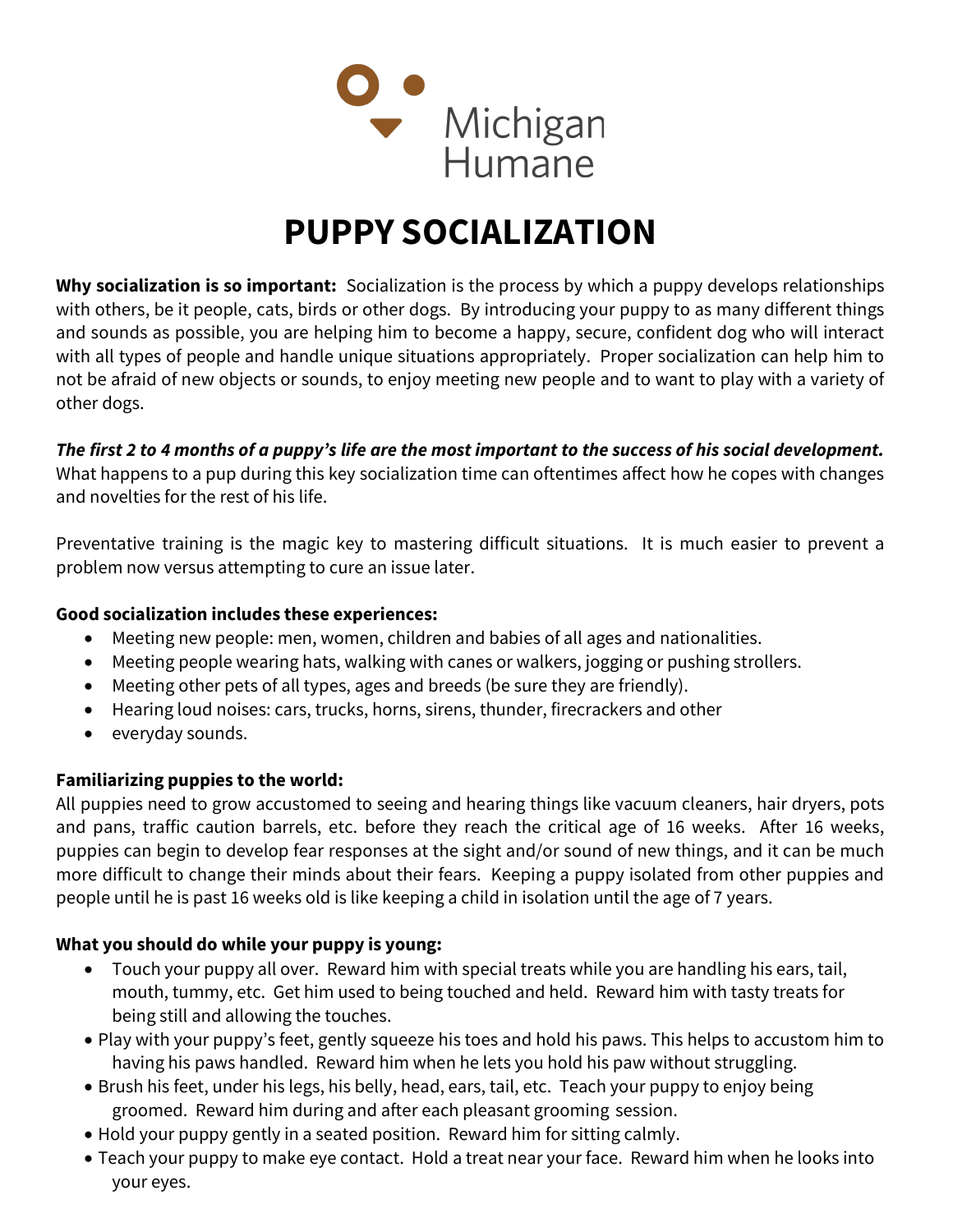

# PUPPY SOCIALIZATION

Why socialization is so important: Socialization is the process by which a puppy develops relationships with others, be it people, cats, birds or other dogs. By introducing your puppy to as many different things and sounds as possible, you are helping him to become a happy, secure, confident dog who will interact with all types of people and handle unique situations appropriately. Proper socialization can help him to not be afraid of new objects or sounds, to enjoy meeting new people and to want to play with a variety of other dogs.

## The first 2 to 4 months of a puppy's life are the most important to the success of his social development.

What happens to a pup during this key socialization time can oftentimes affect how he copes with changes and novelties for the rest of his life.

Preventative training is the magic key to mastering difficult situations. It is much easier to prevent a problem now versus attempting to cure an issue later.

#### Good socialization includes these experiences:

- Meeting new people: men, women, children and babies of all ages and nationalities.
- Meeting people wearing hats, walking with canes or walkers, jogging or pushing strollers.
- Meeting other pets of all types, ages and breeds (be sure they are friendly).
- Hearing loud noises: cars, trucks, horns, sirens, thunder, firecrackers and other
- everyday sounds.

## Familiarizing puppies to the world:

All puppies need to grow accustomed to seeing and hearing things like vacuum cleaners, hair dryers, pots and pans, traffic caution barrels, etc. before they reach the critical age of 16 weeks. After 16 weeks, puppies can begin to develop fear responses at the sight and/or sound of new things, and it can be much more difficult to change their minds about their fears. Keeping a puppy isolated from other puppies and people until he is past 16 weeks old is like keeping a child in isolation until the age of 7 years.

## What you should do while your puppy is young:

- Touch your puppy all over. Reward him with special treats while you are handling his ears, tail, mouth, tummy, etc. Get him used to being touched and held. Reward him with tasty treats for being still and allowing the touches.
- Play with your puppy's feet, gently squeeze his toes and hold his paws. This helps to accustom him to having his paws handled. Reward him when he lets you hold his paw without struggling.
- Brush his feet, under his legs, his belly, head, ears, tail, etc. Teach your puppy to enjoy being groomed. Reward him during and after each pleasant grooming session.
- Hold your puppy gently in a seated position. Reward him for sitting calmly.
- Teach your puppy to make eye contact. Hold a treat near your face. Reward him when he looks into your eyes.